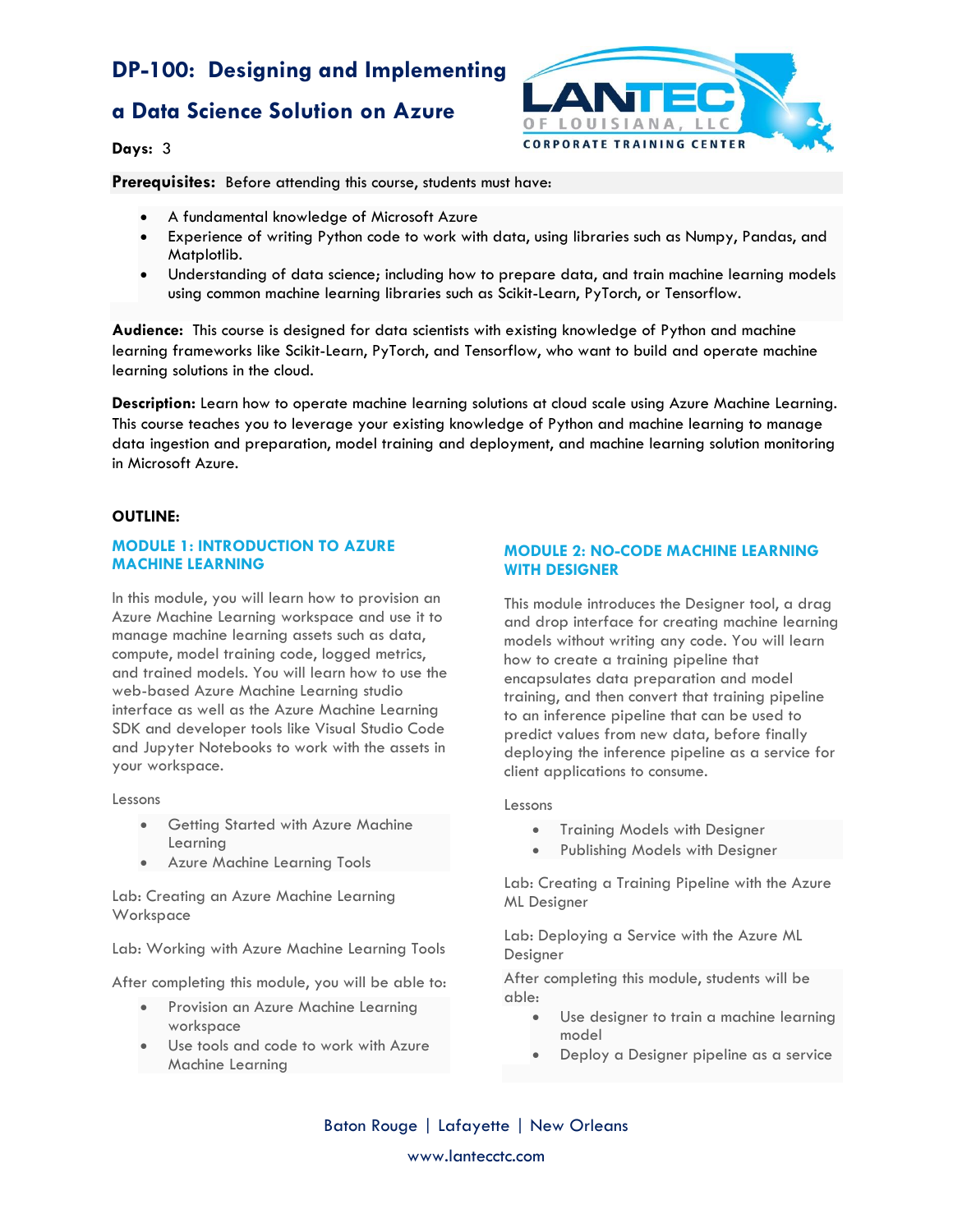# **a Data Science Solution on Azure**



**Days:** 3

**Prerequisites:** Before attending this course, students must have:

- A fundamental knowledge of Microsoft Azure
- Experience of writing Python code to work with data, using libraries such as Numpy, Pandas, and Matplotlib.
- Understanding of data science; including how to prepare data, and train machine learning models using common machine learning libraries such as Scikit-Learn, PyTorch, or Tensorflow.

**Audience:** This course is designed for data scientists with existing knowledge of Python and machine learning frameworks like Scikit-Learn, PyTorch, and Tensorflow, who want to build and operate machine learning solutions in the cloud.

**Description:** Learn how to operate machine learning solutions at cloud scale using Azure Machine Learning. This course teaches you to leverage your existing knowledge of Python and machine learning to manage data ingestion and preparation, model training and deployment, and machine learning solution monitoring in Microsoft Azure.

### **OUTLINE:**

### **MODULE 1: INTRODUCTION TO AZURE MACHINE LEARNING**

In this module, you will learn how to provision an Azure Machine Learning workspace and use it to manage machine learning assets such as data, compute, model training code, logged metrics, and trained models. You will learn how to use the web-based Azure Machine Learning studio interface as well as the Azure Machine Learning SDK and developer tools like Visual Studio Code and Jupyter Notebooks to work with the assets in your workspace.

Lessons

- Getting Started with Azure Machine Learning
- Azure Machine Learning Tools

Lab: Creating an Azure Machine Learning Workspace

Lab: Working with Azure Machine Learning Tools

After completing this module, you will be able to:

- Provision an Azure Machine Learning workspace
- Use tools and code to work with Azure Machine Learning

### **MODULE 2: NO-CODE MACHINE LEARNING WITH DESIGNER**

This module introduces the Designer tool, a drag and drop interface for creating machine learning models without writing any code. You will learn how to create a training pipeline that encapsulates data preparation and model training, and then convert that training pipeline to an inference pipeline that can be used to predict values from new data, before finally deploying the inference pipeline as a service for client applications to consume.

### Lessons

- **•** Training Models with Designer
- Publishing Models with Designer

Lab: Creating a Training Pipeline with the Azure ML Designer

Lab: Deploying a Service with the Azure ML Designer

After completing this module, students will be able:

- Use designer to train a machine learning model
- Deploy a Designer pipeline as a service

Baton Rouge | Lafayette | New Orleans www.lantecctc.com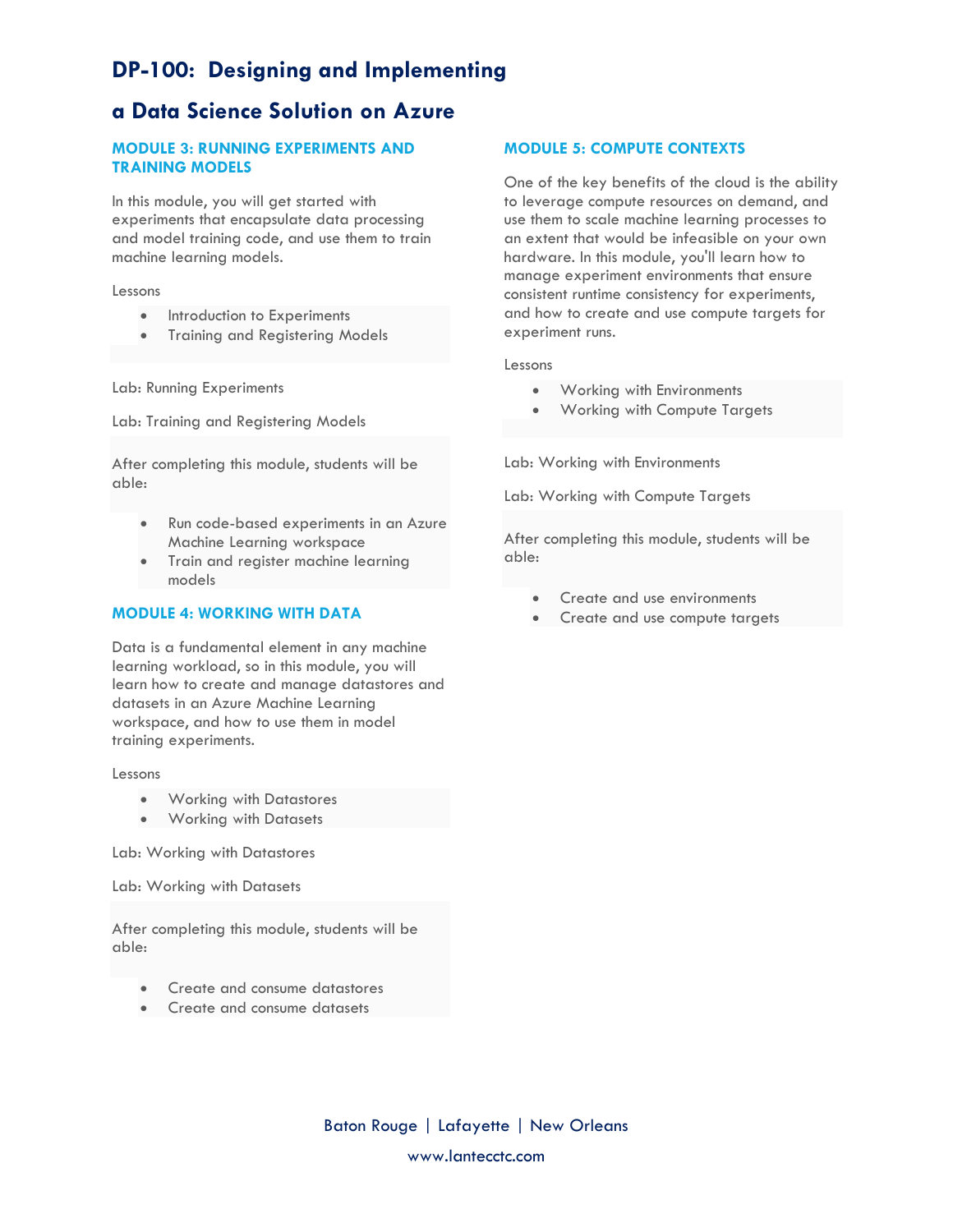# **a Data Science Solution on Azure**

## **MODULE 3: RUNNING EXPERIMENTS AND TRAINING MODELS**

In this module, you will get started with experiments that encapsulate data processing and model training code, and use them to train machine learning models.

### Lessons

- Introduction to Experiments
- Training and Registering Models

Lab: Running Experiments

Lab: Training and Registering Models

After completing this module, students will be able:

- Run code-based experiments in an Azure Machine Learning workspace
- Train and register machine learning models

### **MODULE 4: WORKING WITH DATA**

Data is a fundamental element in any machine learning workload, so in this module, you will learn how to create and manage datastores and datasets in an Azure Machine Learning workspace, and how to use them in model training experiments.

### Lessons

- **•** Working with Datastores
- Working with Datasets

Lab: Working with Datastores

Lab: Working with Datasets

After completing this module, students will be able:

- Create and consume datastores
- Create and consume datasets

### **MODULE 5: COMPUTE CONTEXTS**

One of the key benefits of the cloud is the ability to leverage compute resources on demand, and use them to scale machine learning processes to an extent that would be infeasible on your own hardware. In this module, you'll learn how to manage experiment environments that ensure consistent runtime consistency for experiments, and how to create and use compute targets for experiment runs.

#### Lessons

- Working with Environments
- Working with Compute Targets

Lab: Working with Environments

Lab: Working with Compute Targets

After completing this module, students will be able:

- Create and use environments
- Create and use compute targets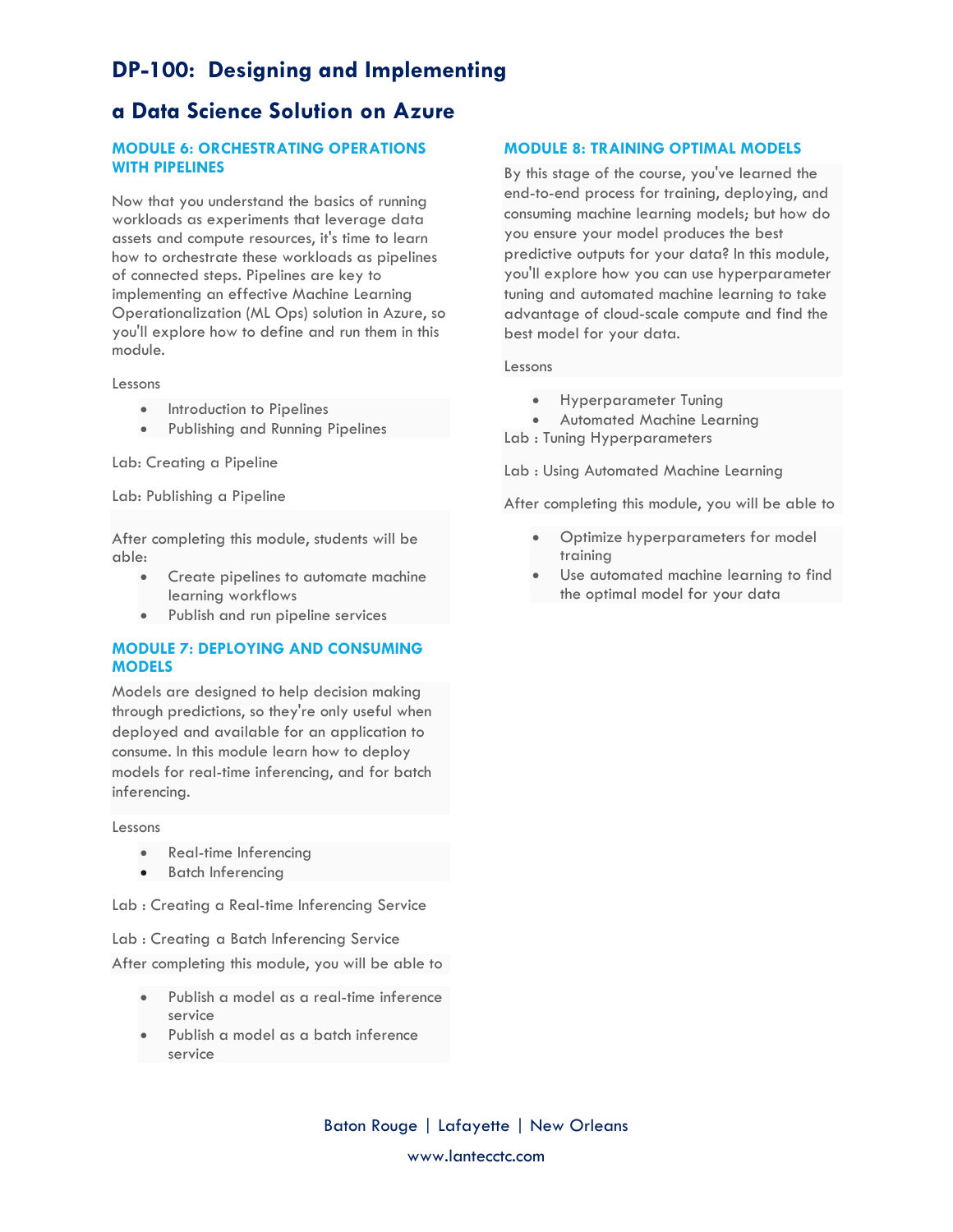# **a Data Science Solution on Azure**

## **MODULE 6: ORCHESTRATING OPERATIONS WITH PIPELINES**

Now that you understand the basics of running workloads as experiments that leverage data assets and compute resources, it's time to learn how to orchestrate these workloads as pipelines of connected steps. Pipelines are key to implementing an effective Machine Learning Operationalization (ML Ops) solution in Azure, so you'll explore how to define and run them in this module.

Lessons

- Introduction to Pipelines
- Publishing and Running Pipelines

Lab: Creating a Pipeline

Lab: Publishing a Pipeline

After completing this module, students will be able:

- Create pipelines to automate machine learning workflows
- Publish and run pipeline services

### **MODULE 7: DEPLOYING AND CONSUMING MODELS**

Models are designed to help decision making through predictions, so they're only useful when deployed and available for an application to consume. In this module learn how to deploy models for real-time inferencing, and for batch inferencing.

#### Lessons

- Real-time Inferencing
- Batch Inferencing

Lab : Creating a Real-time Inferencing Service

Lab : Creating a Batch Inferencing Service After completing this module, you will be able to

- Publish a model as a real-time inference service
- Publish a model as a batch inference service

### **MODULE 8: TRAINING OPTIMAL MODELS**

By this stage of the course, you've learned the end-to-end process for training, deploying, and consuming machine learning models; but how do you ensure your model produces the best predictive outputs for your data? In this module, you'll explore how you can use hyperparameter tuning and automated machine learning to take advantage of cloud-scale compute and find the best model for your data.

#### Lessons

- **•** Hyperparameter Tuning
- Automated Machine Learning

Lab : Tuning Hyperparameters

Lab : Using Automated Machine Learning

After completing this module, you will be able to

- Optimize hyperparameters for model training
- Use automated machine learning to find the optimal model for your data

Baton Rouge | Lafayette | New Orleans www.lantecctc.com